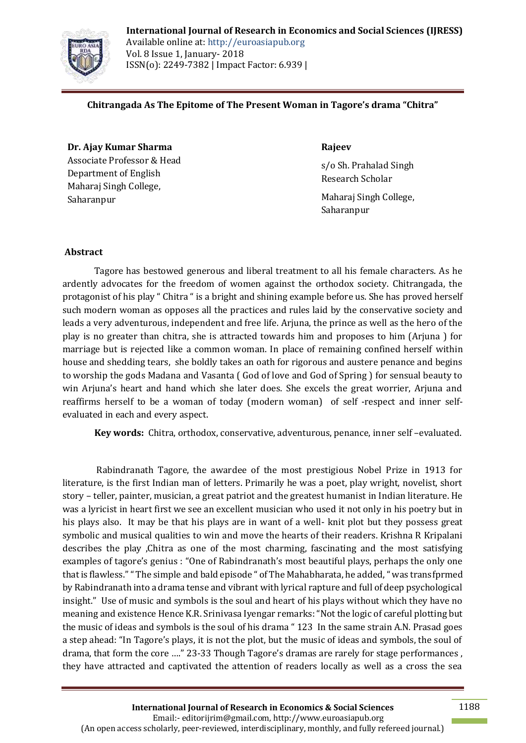

**International Journal of Research in Economics and Social Sciences (IJRESS)** Available online at: http://euroasiapub.org Vol. 8 Issue 1, January- 2018 ISSN(o): 2249-7382 | Impact Factor: 6.939 |

### **Chitrangada As The Epitome of The Present Woman in Tagore's drama "Chitra"**

**Dr. Ajay Kumar Sharma**  Associate Professor & Head Department of English Maharaj Singh College, Saharanpur

### **Rajeev**

s/o Sh. Prahalad Singh Research Scholar

Maharaj Singh College, Saharanpur

### **Abstract**

Tagore has bestowed generous and liberal treatment to all his female characters. As he ardently advocates for the freedom of women against the orthodox society. Chitrangada, the protagonist of his play " Chitra " is a bright and shining example before us. She has proved herself such modern woman as opposes all the practices and rules laid by the conservative society and leads a very adventurous, independent and free life. Arjuna, the prince as well as the hero of the play is no greater than chitra, she is attracted towards him and proposes to him (Arjuna ) for marriage but is rejected like a common woman. In place of remaining confined herself within house and shedding tears, she boldly takes an oath for rigorous and austere penance and begins to worship the gods Madana and Vasanta ( God of love and God of Spring ) for sensual beauty to win Arjuna's heart and hand which she later does. She excels the great worrier, Arjuna and reaffirms herself to be a woman of today (modern woman) of self -respect and inner selfevaluated in each and every aspect.

**Key words:** Chitra, orthodox, conservative, adventurous, penance, inner self –evaluated.

Rabindranath Tagore, the awardee of the most prestigious Nobel Prize in 1913 for literature, is the first Indian man of letters. Primarily he was a poet, play wright, novelist, short story – teller, painter, musician, a great patriot and the greatest humanist in Indian literature. He was a lyricist in heart first we see an excellent musician who used it not only in his poetry but in his plays also. It may be that his plays are in want of a well- knit plot but they possess great symbolic and musical qualities to win and move the hearts of their readers. Krishna R Kripalani describes the play ,Chitra as one of the most charming, fascinating and the most satisfying examples of tagore's genius : "One of Rabindranath's most beautiful plays, perhaps the only one that is flawless."" The simple and bald episode " of The Mahabharata, he added, " was transfprmed by Rabindranath into a drama tense and vibrant with lyrical rapture and full of deep psychological insight." Use of music and symbols is the soul and heart of his plays without which they have no meaning and existence Hence K.R. Srinivasa Iyengar remarks: "Not the logic of careful plotting but the music of ideas and symbols is the soul of his drama " 123 In the same strain A.N. Prasad goes a step ahead: "In Tagore's plays, it is not the plot, but the music of ideas and symbols, the soul of drama, that form the core …." 23-33 Though Tagore's dramas are rarely for stage performances , they have attracted and captivated the attention of readers locally as well as a cross the sea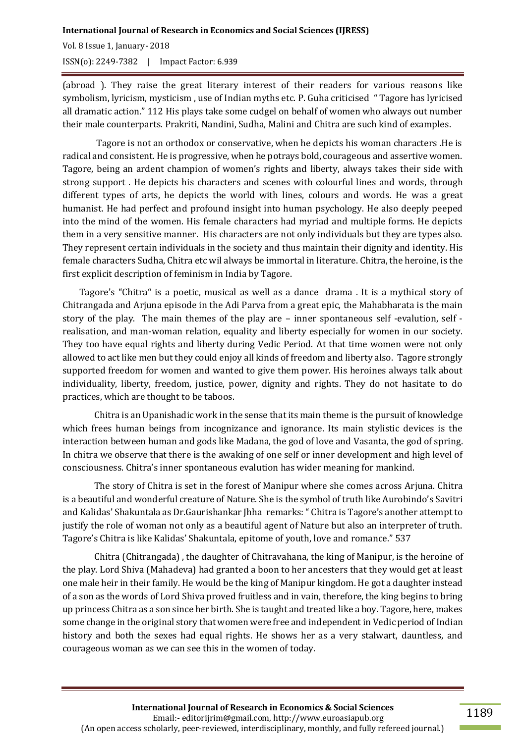# **International Journal of Research in Economics and Social Sciences (IJRESS)**

Vol. 8 Issue 1, January- 2018 ISSN(o): 2249-7382 | Impact Factor: 6.939

(abroad ). They raise the great literary interest of their readers for various reasons like symbolism, lyricism, mysticism , use of Indian myths etc. P. Guha criticised " Tagore has lyricised all dramatic action." 112 His plays take some cudgel on behalf of women who always out number their male counterparts. Prakriti, Nandini, Sudha, Malini and Chitra are such kind of examples.

Tagore is not an orthodox or conservative, when he depicts his woman characters .He is radical and consistent. He is progressive, when he potrays bold, courageous and assertive women. Tagore, being an ardent champion of women's rights and liberty, always takes their side with strong support . He depicts his characters and scenes with colourful lines and words, through different types of arts, he depicts the world with lines, colours and words. He was a great humanist. He had perfect and profound insight into human psychology. He also deeply peeped into the mind of the women. His female characters had myriad and multiple forms. He depicts them in a very sensitive manner. His characters are not only individuals but they are types also. They represent certain individuals in the society and thus maintain their dignity and identity. His female characters Sudha, Chitra etc wil always be immortal in literature. Chitra, the heroine, is the first explicit description of feminism in India by Tagore.

 Tagore's "Chitra" is a poetic, musical as well as a dance drama . It is a mythical story of Chitrangada and Arjuna episode in the Adi Parva from a great epic, the Mahabharata is the main story of the play. The main themes of the play are – inner spontaneous self -evalution, self realisation, and man-woman relation, equality and liberty especially for women in our society. They too have equal rights and liberty during Vedic Period. At that time women were not only allowed to act like men but they could enjoy all kinds of freedom and liberty also. Tagore strongly supported freedom for women and wanted to give them power. His heroines always talk about individuality, liberty, freedom, justice, power, dignity and rights. They do not hasitate to do practices, which are thought to be taboos.

Chitra is an Upanishadic work in the sense that its main theme is the pursuit of knowledge which frees human beings from incognizance and ignorance. Its main stylistic devices is the interaction between human and gods like Madana, the god of love and Vasanta, the god of spring. In chitra we observe that there is the awaking of one self or inner development and high level of consciousness. Chitra's inner spontaneous evalution has wider meaning for mankind.

 The story of Chitra is set in the forest of Manipur where she comes across Arjuna. Chitra is a beautiful and wonderful creature of Nature. She is the symbol of truth like Aurobindo's Savitri and Kalidas' Shakuntala as Dr.Gaurishankar Jhha remarks: " Chitra is Tagore's another attempt to justify the role of woman not only as a beautiful agent of Nature but also an interpreter of truth. Tagore's Chitra is like Kalidas' Shakuntala, epitome of youth, love and romance." 537

Chitra (Chitrangada) , the daughter of Chitravahana, the king of Manipur, is the heroine of the play. Lord Shiva (Mahadeva) had granted a boon to her ancesters that they would get at least one male heir in their family. He would be the king of Manipur kingdom. He got a daughter instead of a son as the words of Lord Shiva proved fruitless and in vain, therefore, the king begins to bring up princess Chitra as a son since her birth. She is taught and treated like a boy. Tagore, here, makes some change in the original story that women were free and independent in Vedic period of Indian history and both the sexes had equal rights. He shows her as a very stalwart, dauntless, and courageous woman as we can see this in the women of today.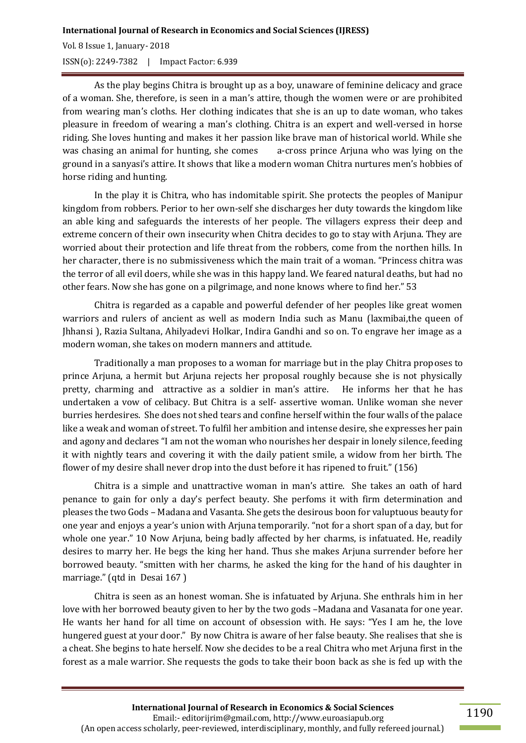#### **International Journal of Research in Economics and Social Sciences (IJRESS)**

Vol. 8 Issue 1, January- 2018 ISSN(o): 2249-7382 | Impact Factor: 6.939

As the play begins Chitra is brought up as a boy, unaware of feminine delicacy and grace of a woman. She, therefore, is seen in a man's attire, though the women were or are prohibited from wearing man's cloths. Her clothing indicates that she is an up to date woman, who takes pleasure in freedom of wearing a man's clothing. Chitra is an expert and well-versed in horse riding. She loves hunting and makes it her passion like brave man of historical world. While she was chasing an animal for hunting, she comes a-cross prince Ariuna who was lying on the ground in a sanyasi's attire. It shows that like a modern woman Chitra nurtures men's hobbies of horse riding and hunting.

In the play it is Chitra, who has indomitable spirit. She protects the peoples of Manipur kingdom from robbers. Perior to her own-self she discharges her duty towards the kingdom like an able king and safeguards the interests of her people. The villagers express their deep and extreme concern of their own insecurity when Chitra decides to go to stay with Arjuna. They are worried about their protection and life threat from the robbers, come from the northen hills. In her character, there is no submissiveness which the main trait of a woman. "Princess chitra was the terror of all evil doers, while she was in this happy land. We feared natural deaths, but had no other fears. Now she has gone on a pilgrimage, and none knows where to find her." 53

Chitra is regarded as a capable and powerful defender of her peoples like great women warriors and rulers of ancient as well as modern India such as Manu (laxmibai,the queen of Jhhansi ), Razia Sultana, Ahilyadevi Holkar, Indira Gandhi and so on. To engrave her image as a modern woman, she takes on modern manners and attitude.

Traditionally a man proposes to a woman for marriage but in the play Chitra proposes to prince Arjuna, a hermit but Arjuna rejects her proposal roughly because she is not physically pretty, charming and attractive as a soldier in man's attire. He informs her that he has undertaken a vow of celibacy. But Chitra is a self- assertive woman. Unlike woman she never burries herdesires. She does not shed tears and confine herself within the four walls of the palace like a weak and woman of street. To fulfil her ambition and intense desire, she expresses her pain and agony and declares "I am not the woman who nourishes her despair in lonely silence, feeding it with nightly tears and covering it with the daily patient smile, a widow from her birth. The flower of my desire shall never drop into the dust before it has ripened to fruit." (156)

Chitra is a simple and unattractive woman in man's attire. She takes an oath of hard penance to gain for only a day's perfect beauty. She perfoms it with firm determination and pleases the two Gods – Madana and Vasanta. She gets the desirous boon for valuptuous beauty for one year and enjoys a year's union with Arjuna temporarily. "not for a short span of a day, but for whole one year." 10 Now Arjuna, being badly affected by her charms, is infatuated. He, readily desires to marry her. He begs the king her hand. Thus she makes Arjuna surrender before her borrowed beauty. "smitten with her charms, he asked the king for the hand of his daughter in marriage." (qtd in Desai 167)

Chitra is seen as an honest woman. She is infatuated by Arjuna. She enthrals him in her love with her borrowed beauty given to her by the two gods –Madana and Vasanata for one year. He wants her hand for all time on account of obsession with. He says: "Yes I am he, the love hungered guest at your door." By now Chitra is aware of her false beauty. She realises that she is a cheat. She begins to hate herself. Now she decides to be a real Chitra who met Arjuna first in the forest as a male warrior. She requests the gods to take their boon back as she is fed up with the